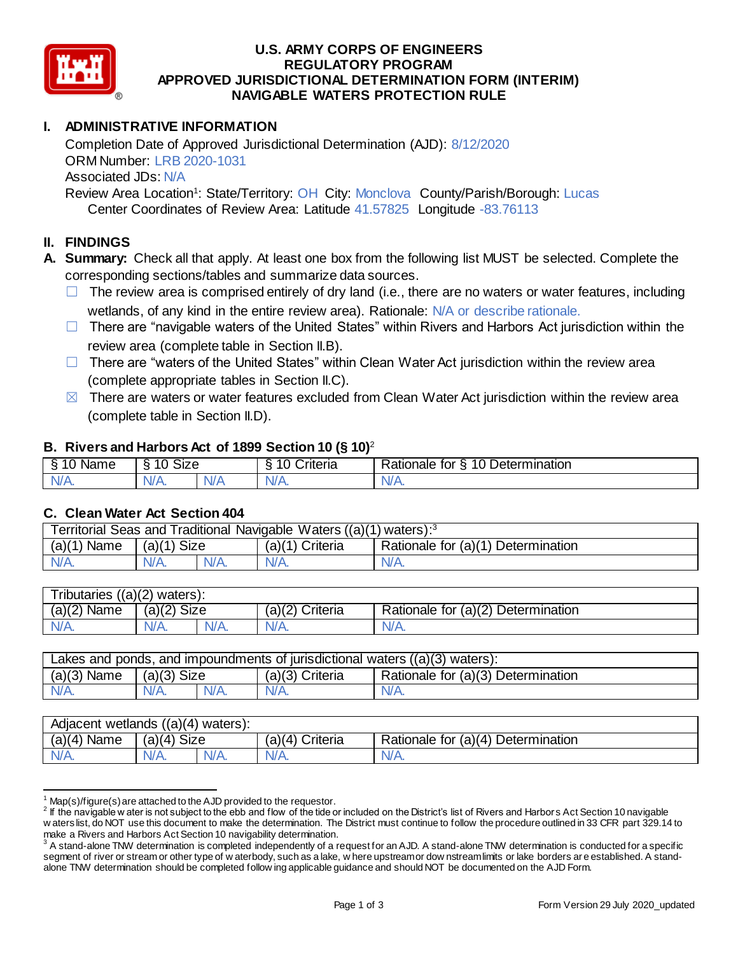

#### **U.S. ARMY CORPS OF ENGINEERS REGULATORY PROGRAM APPROVED JURISDICTIONAL DETERMINATION FORM (INTERIM) NAVIGABLE WATERS PROTECTION RULE**

# **I. ADMINISTRATIVE INFORMATION**

Completion Date of Approved Jurisdictional Determination (AJD): 8/12/2020 ORM Number: LRB 2020-1031 Associated JDs: N/A Review Area Location<sup>1</sup>: State/Territory: OH City: Monclova County/Parish/Borough: Lucas

Center Coordinates of Review Area: Latitude 41.57825 Longitude -83.76113

### **II. FINDINGS**

**A. Summary:** Check all that apply. At least one box from the following list MUST be selected. Complete the corresponding sections/tables and summarize data sources.

- $\Box$  The review area is comprised entirely of dry land (i.e., there are no waters or water features, including wetlands, of any kind in the entire review area). Rationale: N/A or describe rationale.
- $\Box$  There are "navigable waters of the United States" within Rivers and Harbors Act jurisdiction within the review area (complete table in Section II.B).
- $\Box$  There are "waters of the United States" within Clean Water Act jurisdiction within the review area (complete appropriate tables in Section II.C).
- $\boxtimes$  There are waters or water features excluded from Clean Water Act jurisdiction within the review area (complete table in Section II.D).

#### **B. Rivers and Harbors Act of 1899 Section 10 (§ 10)**<sup>2</sup>

|           |                 |     | $\sim$<br>$\overline{\phantom{a}}$ | –                                              |
|-----------|-----------------|-----|------------------------------------|------------------------------------------------|
| ™a⊓e<br>υ | Size<br>10<br>v |     | <b>Driteria</b>                    | 10<br><b>Jetermination</b><br>ationale:<br>tor |
|           | N//             | \l/ | $\mathbf{v} \sim$                  | .<br>ANG.<br>. .                               |

#### **C. Clean Water Act Section 404**

| Territorial Seas and Traditional Navigable Waters ((a)(1) waters): $3$ |               |      |                   |                                    |
|------------------------------------------------------------------------|---------------|------|-------------------|------------------------------------|
| $(a)(1)$ Name                                                          | $(a)(1)$ Size |      | $(a)(1)$ Criteria | Rationale for (a)(1) Determination |
| N/A.                                                                   | N/A.          | N/A. | N/A.              | $N/A$ .                            |

| Tributaries $((a)(2)$ waters): |               |      |                   |                                                  |  |  |
|--------------------------------|---------------|------|-------------------|--------------------------------------------------|--|--|
| $(a)(2)$ Name                  | $(a)(2)$ Size |      | $(a)(2)$ Criteria | Rationale for $(a)$ <sup>(2)</sup> Determination |  |  |
| $N/A$ .                        |               | N/A. | N/A.              | $N/A$ .                                          |  |  |

| Lakes and ponds, and impoundments of jurisdictional waters $((a)(3)$ waters): |               |      |                 |                                    |  |
|-------------------------------------------------------------------------------|---------------|------|-----------------|------------------------------------|--|
| $(a)(3)$ Name                                                                 | $(a)(3)$ Size |      | (a)(3) Criteria | Rationale for (a)(3) Determination |  |
| N/A.                                                                          | N/A.          | N/A. | N/A.            | N/A.                               |  |

| Adjacent wetlands $((a)(4)$ waters): |               |      |                   |                                    |  |  |
|--------------------------------------|---------------|------|-------------------|------------------------------------|--|--|
| $(a)(4)$ Name                        | $(a)(4)$ Size |      | $(a)(4)$ Criteria | Rationale for (a)(4) Determination |  |  |
| N/A.                                 | N/A.          | N/A. | N/A.              | N/A.                               |  |  |

 $1$  Map(s)/figure(s) are attached to the AJD provided to the requestor.

 $\overline{a}$ 

 $^2$  If the navigable w ater is not subject to the ebb and flow of the tide or included on the District's list of Rivers and Harbors Act Section 10 navigable w aters list, do NOT use this document to make the determination. The District must continue to follow the procedure outlined in 33 CFR part 329.14 to

make a Rivers and Harbors Act Section 10 navigability determination.<br><sup>3</sup> A stand-alone TNW determination is completed independently of a request for an AJD. A stand-alone TNW determination is conducted for a specific segment of river or stream or other type of w aterbody, such as a lake, w here upstream or dow nstream limits or lake borders are established. A standalone TNW determination should be completed follow ing applicable guidance and should NOT be documented on the AJD Form.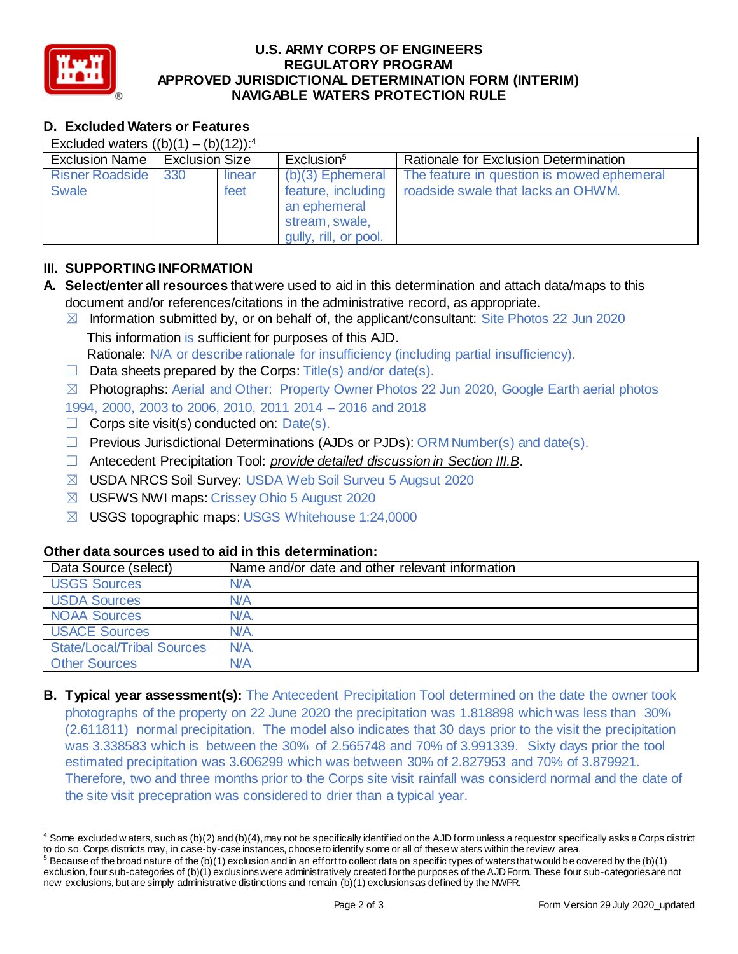

 $\overline{a}$ 

#### **U.S. ARMY CORPS OF ENGINEERS REGULATORY PROGRAM APPROVED JURISDICTIONAL DETERMINATION FORM (INTERIM) NAVIGABLE WATERS PROTECTION RULE**

# **D. Excluded Waters or Features**

| Excluded waters $(16)(1) - (6)(12)$ : <sup>4</sup> |                       |                |                                                                                                     |                                                                                  |  |
|----------------------------------------------------|-----------------------|----------------|-----------------------------------------------------------------------------------------------------|----------------------------------------------------------------------------------|--|
| <b>Exclusion Name</b>                              | <b>Exclusion Size</b> |                | Exclusion <sup>5</sup>                                                                              | Rationale for Exclusion Determination                                            |  |
| Risner Roadside   330<br><b>Swale</b>              |                       | linear<br>feet | $(b)(3)$ Ephemeral<br>feature, including<br>an ephemeral<br>stream, swale,<br>gully, rill, or pool. | The feature in question is mowed ephemeral<br>roadside swale that lacks an OHWM. |  |

# **III. SUPPORTING INFORMATION**

- **A. Select/enter all resources** that were used to aid in this determination and attach data/maps to this document and/or references/citations in the administrative record, as appropriate.
	- $\boxtimes$  Information submitted by, or on behalf of, the applicant/consultant: Site Photos 22 Jun 2020 This information is sufficient for purposes of this AJD. Rationale: N/A or describe rationale for insufficiency (including partial insufficiency).
	- $\Box$  Data sheets prepared by the Corps: Title(s) and/or date(s).

☒ Photographs: Aerial and Other: Property Owner Photos 22 Jun 2020, Google Earth aerial photos 1994, 2000, 2003 to 2006, 2010, 2011 2014 – 2016 and 2018

- $\Box$  Corps site visit(s) conducted on: Date(s).
- $\Box$  Previous Jurisdictional Determinations (AJDs or PJDs): ORM Number(s) and date(s).
- ☐ Antecedent Precipitation Tool: *provide detailed discussion in Section III.B*.
- ☒ USDA NRCS Soil Survey: USDA Web Soil Surveu 5 Augsut 2020
- ☒ USFWS NWI maps: Crissey Ohio 5 August 2020
- ☒ USGS topographic maps: USGS Whitehouse 1:24,0000

### **Other data sources used to aid in this determination:**

| Data Source (select)              | Name and/or date and other relevant information |
|-----------------------------------|-------------------------------------------------|
| <b>USGS Sources</b>               | N/A                                             |
| <b>USDA Sources</b>               | N/A                                             |
| <b>NOAA Sources</b>               | N/A.                                            |
| <b>USACE Sources</b>              | N/A.                                            |
| <b>State/Local/Tribal Sources</b> | N/A.                                            |
| <b>Other Sources</b>              | N/A                                             |

**B. Typical year assessment(s):** The Antecedent Precipitation Tool determined on the date the owner took photographs of the property on 22 June 2020 the precipitation was 1.818898 which was less than 30% (2.611811) normal precipitation. The model also indicates that 30 days prior to the visit the precipitation was 3.338583 which is between the 30% of 2.565748 and 70% of 3.991339. Sixty days prior the tool estimated precipitation was 3.606299 which was between 30% of 2.827953 and 70% of 3.879921. Therefore, two and three months prior to the Corps site visit rainfall was considerd normal and the date of the site visit precepration was considered to drier than a typical year.

 $4$  Some excluded w aters, such as (b)(2) and (b)(4), may not be specifically identified on the AJD form unless a requestor specifically asks a Corps district to do so. Corps districts may, in case-by-case instances, choose to identify some or all of these w aters within the review area.

 $5$  Because of the broad nature of the (b)(1) exclusion and in an effort to collect data on specific types of waters that would be covered by the (b)(1) exclusion, four sub-categories of (b)(1) exclusions were administratively created for the purposes of the AJD Form. These four sub-categories are not new exclusions, but are simply administrative distinctions and remain (b)(1) exclusions as defined by the NWPR.